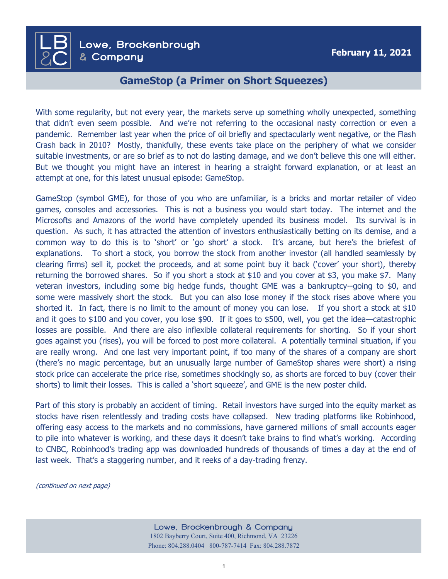**February 11, 2021** Lowe, Brockenbrough & Company

 $\overline{\mathsf{LB}}$ 

**&**C

## **GameStop (a Primer on Short Squeezes)**

With some regularity, but not every year, the markets serve up something wholly unexpected, something that didn't even seem possible. And we're not referring to the occasional nasty correction or even a pandemic. Remember last year when the price of oil briefly and spectacularly went negative, or the Flash Crash back in 2010? Mostly, thankfully, these events take place on the periphery of what we consider suitable investments, or are so brief as to not do lasting damage, and we don't believe this one will either. But we thought you might have an interest in hearing a straight forward explanation, or at least an attempt at one, for this latest unusual episode: GameStop.

GameStop (symbol GME), for those of you who are unfamiliar, is a bricks and mortar retailer of video games, consoles and accessories. This is not a business you would start today. The internet and the Microsofts and Amazons of the world have completely upended its business model. Its survival is in question. As such, it has attracted the attention of investors enthusiastically betting on its demise, and a common way to do this is to 'short' or 'go short' a stock. It's arcane, but here's the briefest of explanations. To short a stock, you borrow the stock from another investor (all handled seamlessly by clearing firms) sell it, pocket the proceeds, and at some point buy it back ('cover' your short), thereby returning the borrowed shares. So if you short a stock at \$10 and you cover at \$3, you make \$7. Many veteran investors, including some big hedge funds, thought GME was a bankruptcy--going to \$0, and some were massively short the stock. But you can also lose money if the stock rises above where you shorted it. In fact, there is no limit to the amount of money you can lose. If you short a stock at \$10 and it goes to \$100 and you cover, you lose \$90. If it goes to \$500, well, you get the idea—catastrophic losses are possible. And there are also inflexible collateral requirements for shorting. So if your short goes against you (rises), you will be forced to post more collateral. A potentially terminal situation, if you are really wrong. And one last very important point, if too many of the shares of a company are short (there's no magic percentage, but an unusually large number of GameStop shares were short) a rising stock price can accelerate the price rise, sometimes shockingly so, as shorts are forced to buy (cover their shorts) to limit their losses. This is called a 'short squeeze', and GME is the new poster child.

Part of this story is probably an accident of timing. Retail investors have surged into the equity market as stocks have risen relentlessly and trading costs have collapsed. New trading platforms like Robinhood, offering easy access to the markets and no commissions, have garnered millions of small accounts eager to pile into whatever is working, and these days it doesn't take brains to find what's working. According to CNBC, Robinhood's trading app was downloaded hundreds of thousands of times a day at the end of last week. That's a staggering number, and it reeks of a day-trading frenzy.

(continued on next page)

Lowe, Brockenbrough & Company 1802 Bayberry Court, Suite 400, Richmond, VA 23226 Phone: 804.288.0404 800-787-7414 Fax: 804.288.7872